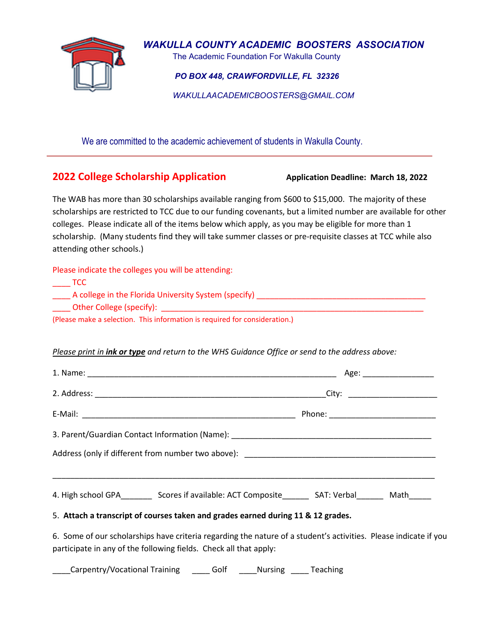

*WAKULLA COUNTY ACADEMIC BOOSTERS ASSOCIATION* 

**The Academic Foundation For Wakulla County** 

 *PO BOX 448, CRAWFORDVILLE, FL 32326*

 *WAKULLAACADEMICBOOSTERS@GMAIL.COM*

We are committed to the academic achievement of students in Wakulla County.

# **2022 College Scholarship Application Application Application Deadline: March 18, 2022**

The WAB has more than 30 scholarships available ranging from \$600 to \$15,000. The majority of these scholarships are restricted to TCC due to our funding covenants, but a limited number are available for other colleges. Please indicate all of the items below which apply, as you may be eligible for more than 1 scholarship. (Many students find they will take summer classes or pre-requisite classes at TCC while also attending other schools.)

Please indicate the colleges you will be attending:

| A college in the Florida University System (specify)                       |  |
|----------------------------------------------------------------------------|--|
| Other College (specify):                                                   |  |
| (Please make a selection. This information is required for consideration.) |  |

# *Please print in ink or type and return to the WHS Guidance Office or send to the address above:*

| 4. High school GPA__________ Scores if available: ACT Composite__________ SAT: Verbal__________ Math______                                                                            |  |  |
|---------------------------------------------------------------------------------------------------------------------------------------------------------------------------------------|--|--|
| 5. Attach a transcript of courses taken and grades earned during 11 & 12 grades.                                                                                                      |  |  |
| 6. Some of our scholarships have criteria regarding the nature of a student's activities. Please indicate if you<br>participate in any of the following fields. Check all that apply: |  |  |

\_Carpentry/Vocational Training \_\_\_\_\_\_ Golf \_\_\_\_\_Nursing \_\_\_\_\_ Teaching